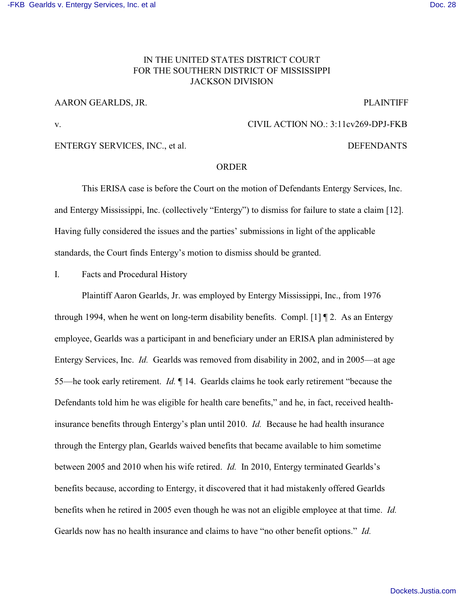# IN THE UNITED STATES DISTRICT COURT FOR THE SOUTHERN DISTRICT OF MISSISSIPPI JACKSON DIVISION

## AARON GEARLDS, JR. PLAINTIFF

# v. CIVIL ACTION NO.: 3:11cv269-DPJ-FKB

## ENTERGY SERVICES, INC., et al. DEFENDANTS

# ORDER

This ERISA case is before the Court on the motion of Defendants Entergy Services, Inc. and Entergy Mississippi, Inc. (collectively "Entergy") to dismiss for failure to state a claim [12]. Having fully considered the issues and the parties' submissions in light of the applicable standards, the Court finds Entergy's motion to dismiss should be granted.

I. Facts and Procedural History

Plaintiff Aaron Gearlds, Jr. was employed by Entergy Mississippi, Inc., from 1976 through 1994, when he went on long-term disability benefits. Compl. [1]  $\P$  2. As an Entergy employee, Gearlds was a participant in and beneficiary under an ERISA plan administered by Entergy Services, Inc. *Id.* Gearlds was removed from disability in 2002, and in 2005—at age 55—he took early retirement. *Id.* ¶ 14. Gearlds claims he took early retirement "because the Defendants told him he was eligible for health care benefits," and he, in fact, received healthinsurance benefits through Entergy's plan until 2010. *Id.* Because he had health insurance through the Entergy plan, Gearlds waived benefits that became available to him sometime between 2005 and 2010 when his wife retired. *Id.* In 2010, Entergy terminated Gearlds's benefits because, according to Entergy, it discovered that it had mistakenly offered Gearlds benefits when he retired in 2005 even though he was not an eligible employee at that time. *Id.* Gearlds now has no health insurance and claims to have "no other benefit options." *Id.*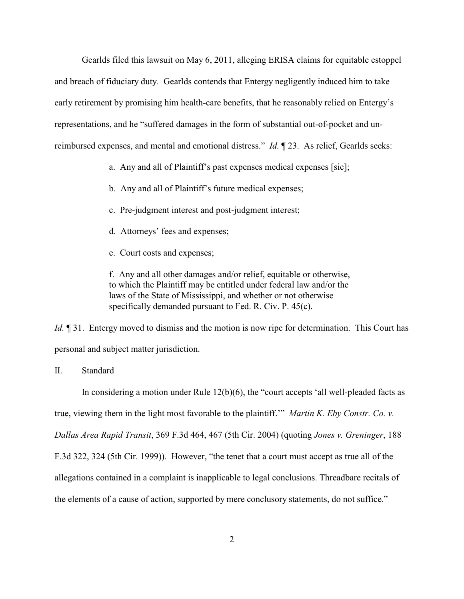Gearlds filed this lawsuit on May 6, 2011, alleging ERISA claims for equitable estoppel and breach of fiduciary duty. Gearlds contends that Entergy negligently induced him to take early retirement by promising him health-care benefits, that he reasonably relied on Entergy's representations, and he "suffered damages in the form of substantial out-of-pocket and unreimbursed expenses, and mental and emotional distress." *Id.* ¶ 23. As relief, Gearlds seeks:

- a. Any and all of Plaintiff's past expenses medical expenses [sic];
- b. Any and all of Plaintiff's future medical expenses;
- c. Pre-judgment interest and post-judgment interest;
- d. Attorneys' fees and expenses;
- e. Court costs and expenses;

f. Any and all other damages and/or relief, equitable or otherwise, to which the Plaintiff may be entitled under federal law and/or the laws of the State of Mississippi, and whether or not otherwise specifically demanded pursuant to Fed. R. Civ. P. 45(c).

*Id.*  $\P$  31. Entergy moved to dismiss and the motion is now ripe for determination. This Court has personal and subject matter jurisdiction.

## II. Standard

In considering a motion under Rule 12(b)(6), the "court accepts 'all well-pleaded facts as

true, viewing them in the light most favorable to the plaintiff.'" *Martin K. Eby Constr. Co. v.*

*Dallas Area Rapid Transit*, 369 F.3d 464, 467 (5th Cir. 2004) (quoting *Jones v. Greninger*, 188

F.3d 322, 324 (5th Cir. 1999)). However, "the tenet that a court must accept as true all of the

allegations contained in a complaint is inapplicable to legal conclusions. Threadbare recitals of

the elements of a cause of action, supported by mere conclusory statements, do not suffice."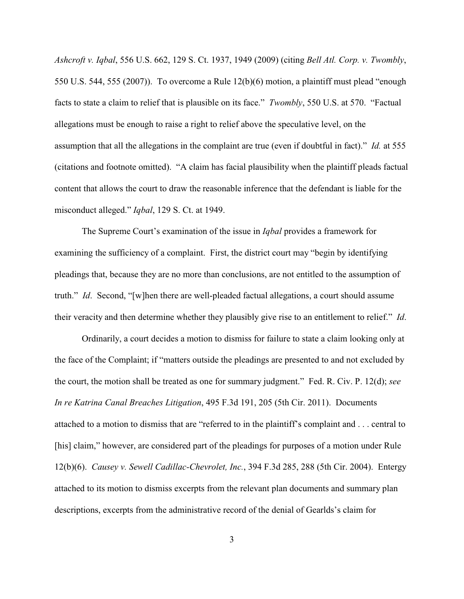*Ashcroft v. Iqbal*, 556 U.S. 662, 129 S. Ct. 1937, 1949 (2009) (citing *Bell Atl. Corp. v. Twombly*, 550 U.S. 544, 555 (2007)). To overcome a Rule 12(b)(6) motion, a plaintiff must plead "enough facts to state a claim to relief that is plausible on its face." *Twombly*, 550 U.S. at 570. "Factual allegations must be enough to raise a right to relief above the speculative level, on the assumption that all the allegations in the complaint are true (even if doubtful in fact)." *Id.* at 555 (citations and footnote omitted). "A claim has facial plausibility when the plaintiff pleads factual content that allows the court to draw the reasonable inference that the defendant is liable for the misconduct alleged." *Iqbal*, 129 S. Ct. at 1949.

The Supreme Court's examination of the issue in *Iqbal* provides a framework for examining the sufficiency of a complaint. First, the district court may "begin by identifying pleadings that, because they are no more than conclusions, are not entitled to the assumption of truth." *Id*. Second, "[w]hen there are well-pleaded factual allegations, a court should assume their veracity and then determine whether they plausibly give rise to an entitlement to relief." *Id*.

Ordinarily, a court decides a motion to dismiss for failure to state a claim looking only at the face of the Complaint; if "matters outside the pleadings are presented to and not excluded by the court, the motion shall be treated as one for summary judgment." Fed. R. Civ. P. 12(d); *see In re Katrina Canal Breaches Litigation*, 495 F.3d 191, 205 (5th Cir. 2011). Documents attached to a motion to dismiss that are "referred to in the plaintiff's complaint and . . . central to [his] claim," however, are considered part of the pleadings for purposes of a motion under Rule 12(b)(6). *Causey v. Sewell Cadillac-Chevrolet, Inc.*, 394 F.3d 285, 288 (5th Cir. 2004). Entergy attached to its motion to dismiss excerpts from the relevant plan documents and summary plan descriptions, excerpts from the administrative record of the denial of Gearlds's claim for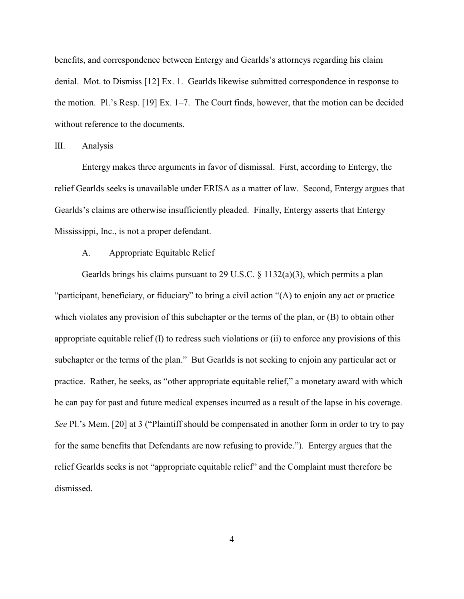benefits, and correspondence between Entergy and Gearlds's attorneys regarding his claim denial. Mot. to Dismiss [12] Ex. 1. Gearlds likewise submitted correspondence in response to the motion. Pl.'s Resp. [19] Ex. 1–7. The Court finds, however, that the motion can be decided without reference to the documents.

#### III. Analysis

Entergy makes three arguments in favor of dismissal. First, according to Entergy, the relief Gearlds seeks is unavailable under ERISA as a matter of law. Second, Entergy argues that Gearlds's claims are otherwise insufficiently pleaded. Finally, Entergy asserts that Entergy Mississippi, Inc., is not a proper defendant.

#### A. Appropriate Equitable Relief

Gearlds brings his claims pursuant to 29 U.S.C. § 1132(a)(3), which permits a plan "participant, beneficiary, or fiduciary" to bring a civil action "(A) to enjoin any act or practice which violates any provision of this subchapter or the terms of the plan, or (B) to obtain other appropriate equitable relief (I) to redress such violations or (ii) to enforce any provisions of this subchapter or the terms of the plan." But Gearlds is not seeking to enjoin any particular act or practice. Rather, he seeks, as "other appropriate equitable relief," a monetary award with which he can pay for past and future medical expenses incurred as a result of the lapse in his coverage. *See* Pl.'s Mem. [20] at 3 ("Plaintiff should be compensated in another form in order to try to pay for the same benefits that Defendants are now refusing to provide."). Entergy argues that the relief Gearlds seeks is not "appropriate equitable relief" and the Complaint must therefore be dismissed.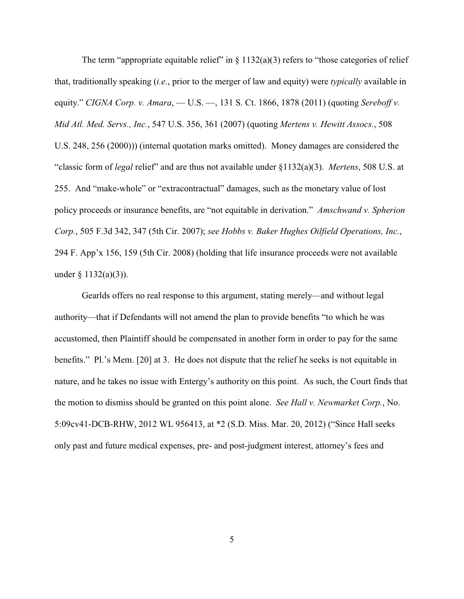The term "appropriate equitable relief" in  $\S 1132(a)(3)$  refers to "those categories of relief that, traditionally speaking (*i.e.*, prior to the merger of law and equity) were *typically* available in equity." *CIGNA Corp. v. Amara*, — U.S. —, 131 S. Ct. 1866, 1878 (2011) (quoting *Sereboff v. Mid Atl. Med. Servs., Inc.*, 547 U.S. 356, 361 (2007) (quoting *Mertens v. Hewitt Assocs.*, 508 U.S. 248, 256 (2000))) (internal quotation marks omitted). Money damages are considered the "classic form of *legal* relief" and are thus not available under §1132(a)(3). *Mertens*, 508 U.S. at 255. And "make-whole" or "extracontractual" damages, such as the monetary value of lost policy proceeds or insurance benefits, are "not equitable in derivation." *Amschwand v. Spherion Corp.*, 505 F.3d 342, 347 (5th Cir. 2007); *see Hobbs v. Baker Hughes Oilfield Operations, Inc.*, 294 F. App'x 156, 159 (5th Cir. 2008) (holding that life insurance proceeds were not available under  $\S$  1132(a)(3)).

Gearlds offers no real response to this argument, stating merely—and without legal authority—that if Defendants will not amend the plan to provide benefits "to which he was accustomed, then Plaintiff should be compensated in another form in order to pay for the same benefits." Pl.'s Mem. [20] at 3. He does not dispute that the relief he seeks is not equitable in nature, and he takes no issue with Entergy's authority on this point. As such, the Court finds that the motion to dismiss should be granted on this point alone. *See Hall v. Newmarket Corp.*, No. 5:09cv41-DCB-RHW, 2012 WL 956413, at \*2 (S.D. Miss. Mar. 20, 2012) ("Since Hall seeks only past and future medical expenses, pre- and post-judgment interest, attorney's fees and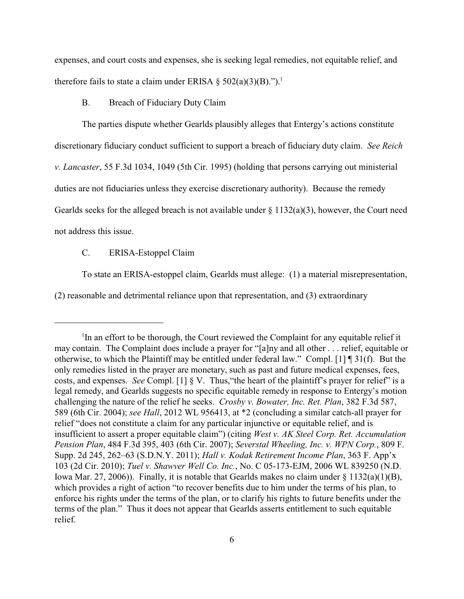expenses, and court costs and expenses, she is seeking legal remedies, not equitable relief, and therefore fails to state a claim under ERISA  $\S 502(a)(3)(B)$ .").<sup>1</sup>

B. Breach of Fiduciary Duty Claim

The parties dispute whether Gearlds plausibly alleges that Entergy's actions constitute

discretionary fiduciary conduct sufficient to support a breach of fiduciary duty claim. *See Reich*

*v. Lancaster*, 55 F.3d 1034, 1049 (5th Cir. 1995) (holding that persons carrying out ministerial

duties are not fiduciaries unless they exercise discretionary authority). Because the remedy

Gearlds seeks for the alleged breach is not available under  $\S 1132(a)(3)$ , however, the Court need

not address this issue.

#### C. ERISA-Estoppel Claim

To state an ERISA-estoppel claim, Gearlds must allege: (1) a material misrepresentation,

(2) reasonable and detrimental reliance upon that representation, and (3) extraordinary

 $\rm{I}$ In an effort to be thorough, the Court reviewed the Complaint for any equitable relief it may contain. The Complaint does include a prayer for "[a]ny and all other . . . relief, equitable or otherwise, to which the Plaintiff may be entitled under federal law." Compl. [1] ¶ 31(f). But the only remedies listed in the prayer are monetary, such as past and future medical expenses, fees, costs, and expenses. *See* Compl. [1] § V. Thus,"the heart of the plaintiff's prayer for relief" is a legal remedy, and Gearlds suggests no specific equitable remedy in response to Entergy's motion challenging the nature of the relief he seeks. *Crosby v. Bowater, Inc. Ret. Plan*, 382 F.3d 587, 589 (6th Cir. 2004); *see Hall*, 2012 WL 956413, at \*2 (concluding a similar catch-all prayer for relief "does not constitute a claim for any particular injunctive or equitable relief, and is insufficient to assert a proper equitable claim") (citing *West v. AK Steel Corp. Ret. Accumulation Pension Plan*, 484 F.3d 395, 403 (6th Cir. 2007); *Severstal Wheeling, Inc. v. WPN Corp.*, 809 F. Supp. 2d 245, 262–63 (S.D.N.Y. 2011); *Hall v. Kodak Retirement Income Plan*, 363 F. App'x 103 (2d Cir. 2010); *Tuel v. Shawver Well Co. Inc.*, No. C 05-173-EJM, 2006 WL 839250 (N.D. Iowa Mar. 27, 2006)). Finally, it is notable that Gearlds makes no claim under § 1132(a)(1)(B), which provides a right of action "to recover benefits due to him under the terms of his plan, to enforce his rights under the terms of the plan, or to clarify his rights to future benefits under the terms of the plan." Thus it does not appear that Gearlds asserts entitlement to such equitable relief.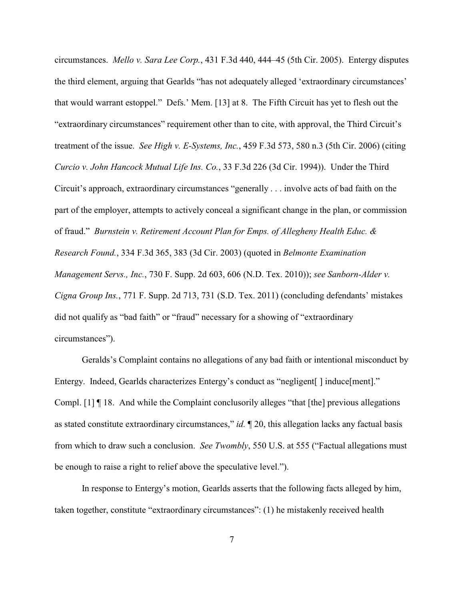circumstances. *Mello v. Sara Lee Corp.*, 431 F.3d 440, 444–45 (5th Cir. 2005). Entergy disputes the third element, arguing that Gearlds "has not adequately alleged 'extraordinary circumstances' that would warrant estoppel." Defs.' Mem. [13] at 8. The Fifth Circuit has yet to flesh out the "extraordinary circumstances" requirement other than to cite, with approval, the Third Circuit's treatment of the issue. *See High v. E-Systems, Inc.*, 459 F.3d 573, 580 n.3 (5th Cir. 2006) (citing *Curcio v. John Hancock Mutual Life Ins. Co.*, 33 F.3d 226 (3d Cir. 1994)). Under the Third Circuit's approach, extraordinary circumstances "generally . . . involve acts of bad faith on the part of the employer, attempts to actively conceal a significant change in the plan, or commission of fraud." *Burnstein v. Retirement Account Plan for Emps. of Allegheny Health Educ. & Research Found.*, 334 F.3d 365, 383 (3d Cir. 2003) (quoted in *Belmonte Examination Management Servs., Inc.*, 730 F. Supp. 2d 603, 606 (N.D. Tex. 2010)); *see Sanborn-Alder v. Cigna Group Ins.*, 771 F. Supp. 2d 713, 731 (S.D. Tex. 2011) (concluding defendants' mistakes did not qualify as "bad faith" or "fraud" necessary for a showing of "extraordinary circumstances").

Geralds's Complaint contains no allegations of any bad faith or intentional misconduct by Entergy. Indeed, Gearlds characterizes Entergy's conduct as "negligent[] induce[ment]." Compl. [1] ¶ 18. And while the Complaint conclusorily alleges "that [the] previous allegations as stated constitute extraordinary circumstances," *id.* ¶ 20, this allegation lacks any factual basis from which to draw such a conclusion. *See Twombly*, 550 U.S. at 555 ("Factual allegations must be enough to raise a right to relief above the speculative level.").

In response to Entergy's motion, Gearlds asserts that the following facts alleged by him, taken together, constitute "extraordinary circumstances": (1) he mistakenly received health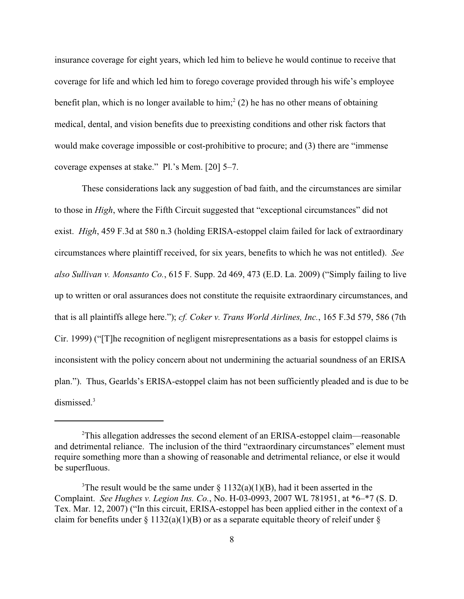insurance coverage for eight years, which led him to believe he would continue to receive that coverage for life and which led him to forego coverage provided through his wife's employee benefit plan, which is no longer available to him;<sup>2</sup> (2) he has no other means of obtaining medical, dental, and vision benefits due to preexisting conditions and other risk factors that would make coverage impossible or cost-prohibitive to procure; and (3) there are "immense coverage expenses at stake." Pl.'s Mem. [20] 5–7.

These considerations lack any suggestion of bad faith, and the circumstances are similar to those in *High*, where the Fifth Circuit suggested that "exceptional circumstances" did not exist. *High*, 459 F.3d at 580 n.3 (holding ERISA-estoppel claim failed for lack of extraordinary circumstances where plaintiff received, for six years, benefits to which he was not entitled). *See also Sullivan v. Monsanto Co.*, 615 F. Supp. 2d 469, 473 (E.D. La. 2009) ("Simply failing to live up to written or oral assurances does not constitute the requisite extraordinary circumstances, and that is all plaintiffs allege here."); *cf. Coker v. Trans World Airlines, Inc.*, 165 F.3d 579, 586 (7th Cir. 1999) ("[T]he recognition of negligent misrepresentations as a basis for estoppel claims is inconsistent with the policy concern about not undermining the actuarial soundness of an ERISA plan."). Thus, Gearlds's ERISA-estoppel claim has not been sufficiently pleaded and is due to be dismissed.<sup>3</sup>

<sup>&</sup>lt;sup>2</sup>This allegation addresses the second element of an ERISA-estoppel claim—reasonable and detrimental reliance. The inclusion of the third "extraordinary circumstances" element must require something more than a showing of reasonable and detrimental reliance, or else it would be superfluous.

The result would be the same under  $\S 1132(a)(1)(B)$ , had it been asserted in the Complaint. *See Hughes v. Legion Ins. Co.*, No. H-03-0993, 2007 WL 781951, at \*6–\*7 (S. D. Tex. Mar. 12, 2007) ("In this circuit, ERISA-estoppel has been applied either in the context of a claim for benefits under  $\S 1132(a)(1)(B)$  or as a separate equitable theory of releif under  $\S$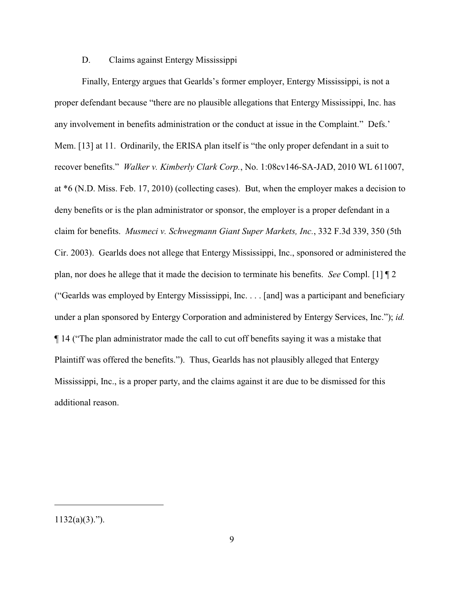## D. Claims against Entergy Mississippi

Finally, Entergy argues that Gearlds's former employer, Entergy Mississippi, is not a proper defendant because "there are no plausible allegations that Entergy Mississippi, Inc. has any involvement in benefits administration or the conduct at issue in the Complaint." Defs.' Mem. [13] at 11. Ordinarily, the ERISA plan itself is "the only proper defendant in a suit to recover benefits." *Walker v. Kimberly Clark Corp.*, No. 1:08cv146-SA-JAD, 2010 WL 611007, at \*6 (N.D. Miss. Feb. 17, 2010) (collecting cases). But, when the employer makes a decision to deny benefits or is the plan administrator or sponsor, the employer is a proper defendant in a claim for benefits. *Musmeci v. Schwegmann Giant Super Markets, Inc.*, 332 F.3d 339, 350 (5th Cir. 2003). Gearlds does not allege that Entergy Mississippi, Inc., sponsored or administered the plan, nor does he allege that it made the decision to terminate his benefits. *See* Compl. [1] ¶ 2 ("Gearlds was employed by Entergy Mississippi, Inc. . . . [and] was a participant and beneficiary under a plan sponsored by Entergy Corporation and administered by Entergy Services, Inc."); *id.* ¶ 14 ("The plan administrator made the call to cut off benefits saying it was a mistake that Plaintiff was offered the benefits."). Thus, Gearlds has not plausibly alleged that Entergy Mississippi, Inc., is a proper party, and the claims against it are due to be dismissed for this additional reason.

<sup>1132(</sup>a)(3).").